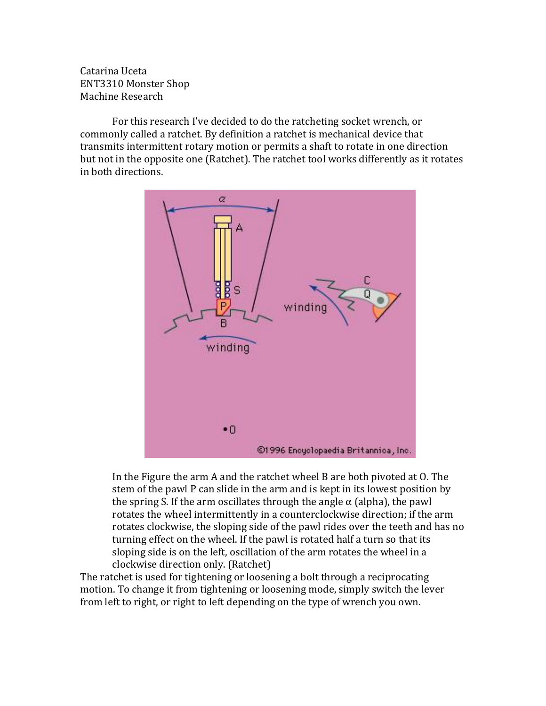Catarina Uceta ENT3310 Monster Shop Machine Research

For this research I've decided to do the ratcheting socket wrench, or commonly called a ratchet. By definition a ratchet is mechanical device that transmits intermittent rotary motion or permits a shaft to rotate in one direction but not in the opposite one (Ratchet). The ratchet tool works differently as it rotates in both directions.



In the Figure the arm A and the ratchet wheel  $B$  are both pivoted at  $O$ . The stem of the pawl P can slide in the arm and is kept in its lowest position by the spring S. If the arm oscillates through the angle  $\alpha$  (alpha), the pawl rotates the wheel intermittently in a counterclockwise direction; if the arm rotates clockwise, the sloping side of the pawl rides over the teeth and has no turning effect on the wheel. If the pawl is rotated half a turn so that its sloping side is on the left, oscillation of the arm rotates the wheel in a clockwise direction only. (Ratchet)

The ratchet is used for tightening or loosening a bolt through a reciprocating motion. To change it from tightening or loosening mode, simply switch the lever from left to right, or right to left depending on the type of wrench you own.